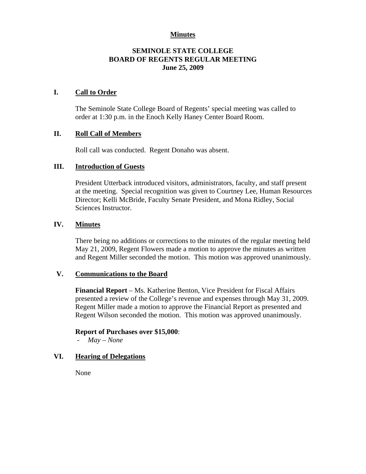## **Minutes**

## **SEMINOLE STATE COLLEGE BOARD OF REGENTS REGULAR MEETING June 25, 2009**

### **I. Call to Order**

The Seminole State College Board of Regents' special meeting was called to order at 1:30 p.m. in the Enoch Kelly Haney Center Board Room.

## **II. Roll Call of Members**

Roll call was conducted. Regent Donaho was absent.

## **III. Introduction of Guests**

President Utterback introduced visitors, administrators, faculty, and staff present at the meeting. Special recognition was given to Courtney Lee, Human Resources Director; Kelli McBride, Faculty Senate President, and Mona Ridley, Social Sciences Instructor.

## **IV. Minutes**

There being no additions or corrections to the minutes of the regular meeting held May 21, 2009, Regent Flowers made a motion to approve the minutes as written and Regent Miller seconded the motion. This motion was approved unanimously.

#### **V. Communications to the Board**

**Financial Report** – Ms. Katherine Benton, Vice President for Fiscal Affairs presented a review of the College's revenue and expenses through May 31, 2009. Regent Miller made a motion to approve the Financial Report as presented and Regent Wilson seconded the motion. This motion was approved unanimously.

#### **Report of Purchases over \$15,000**:

- *May – None* 

### **VI. Hearing of Delegations**

None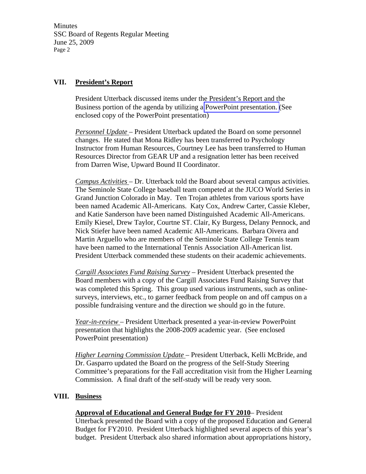Minutes SSC Board of Regents Regular Meeting June 25, 2009 Page 2

## **VII. President's Report**

President Utterback discussed items under the President's Report and the Business portion of the agenda by utilizing a PowerPoint presentation. (See enclosed copy of the PowerPoint presentation)

*Personnel Update* – President Utterback updated the Board on some personnel changes. He stated that Mona Ridley has been transferred to Psychology Instructor from Human Resources, Courtney Lee has been transferred to Human Resources Director from GEAR UP and a resignation letter has been received from Darren Wise, Upward Bound II Coordinator.

*Campus Activities* – Dr. Utterback told the Board about several campus activities. The Seminole State College baseball team competed at the JUCO World Series in Grand Junction Colorado in May. Ten Trojan athletes from various sports have been named Academic All-Americans. Katy Cox, Andrew Carter, Cassie Kleber, and Katie Sanderson have been named Distinguished Academic All-Americans. Emily Kiesel, Drew Taylor, Courtne ST. Clair, Ky Burgess, Delany Pennock, and Nick Stiefer have been named Academic All-Americans. Barbara Oivera and Martin Arguello who are members of the Seminole State College Tennis team have been named to the International Tennis Association All-American list. President Utterback commended these students on their academic achievements.

*Cargill Associates Fund Raising Survey* – President Utterback presented the Board members with a copy of the Cargill Associates Fund Raising Survey that was completed this Spring. This group used various instruments, such as onlinesurveys, interviews, etc., to garner feedback from people on and off campus on a possible fundraising venture and the direction we should go in the future.

*Year-in-review* – President Utterback presented a year-in-review PowerPoint presentation that highlights the 2008-2009 academic year. (See enclosed PowerPoint presentation)

*Higher Learning Commission Update* – President Utterback, Kelli McBride, and Dr. Gasparro updated the Board on the progress of the Self-Study Steering Committee's preparations for the Fall accreditation visit from the Higher Learning Commission. A final draft of the self-study will be ready very soon.

#### **VIII. Business**

**Approval of Educational and General Budge for FY 2010**– President

Utterback presented the Board with a copy of the proposed Education and General Budget for FY2010. President Utterback highlighted several aspects of this year's budget. President Utterback also shared information about appropriations history,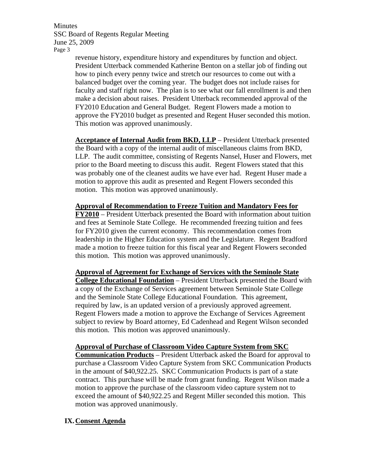Minutes SSC Board of Regents Regular Meeting June 25, 2009 Page 3

> revenue history, expenditure history and expenditures by function and object. President Utterback commended Katherine Benton on a stellar job of finding out how to pinch every penny twice and stretch our resources to come out with a balanced budget over the coming year. The budget does not include raises for faculty and staff right now. The plan is to see what our fall enrollment is and then make a decision about raises. President Utterback recommended approval of the FY2010 Education and General Budget. Regent Flowers made a motion to approve the FY2010 budget as presented and Regent Huser seconded this motion. This motion was approved unanimously.

> **Acceptance of Internal Audit from BKD, LLP** – President Utterback presented the Board with a copy of the internal audit of miscellaneous claims from BKD, LLP. The audit committee, consisting of Regents Nansel, Huser and Flowers, met prior to the Board meeting to discuss this audit. Regent Flowers stated that this was probably one of the cleanest audits we have ever had. Regent Huser made a motion to approve this audit as presented and Regent Flowers seconded this motion. This motion was approved unanimously.

> **Approval of Recommendation to Freeze Tuition and Mandatory Fees for FY2010** – President Utterback presented the Board with information about tuition and fees at Seminole State College. He recommended freezing tuition and fees for FY2010 given the current economy. This recommendation comes from leadership in the Higher Education system and the Legislature. Regent Bradford made a motion to freeze tuition for this fiscal year and Regent Flowers seconded this motion. This motion was approved unanimously.

> **Approval of Agreement for Exchange of Services with the Seminole State College Educational Foundation** – President Utterback presented the Board with a copy of the Exchange of Services agreement between Seminole State College and the Seminole State College Educational Foundation. This agreement, required by law, is an updated version of a previously approved agreement. Regent Flowers made a motion to approve the Exchange of Services Agreement subject to review by Board attorney, Ed Cadenhead and Regent Wilson seconded this motion. This motion was approved unanimously.

**Approval of Purchase of Classroom Video Capture System from SKC** 

**Communication Products** – President Utterback asked the Board for approval to purchase a Classroom Video Capture System from SKC Communication Products in the amount of \$40,922.25. SKC Communication Products is part of a state contract. This purchase will be made from grant funding. Regent Wilson made a motion to approve the purchase of the classroom video capture system not to exceed the amount of \$40,922.25 and Regent Miller seconded this motion. This motion was approved unanimously.

# **IX.Consent Agenda**